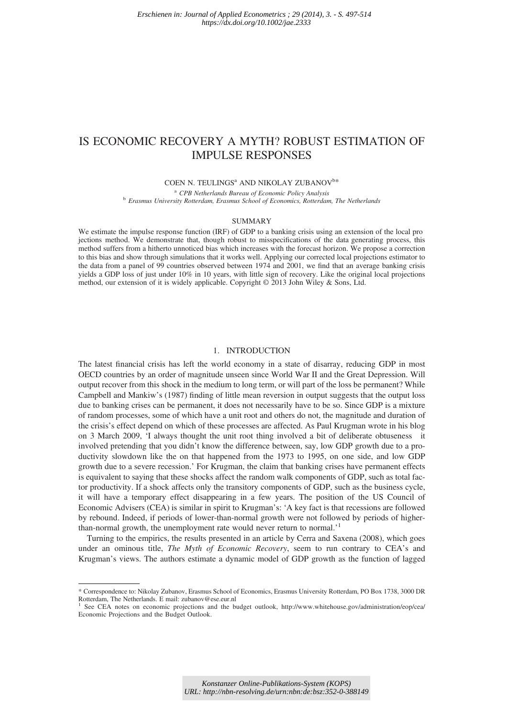# IS ECONOMIC RECOVERY A MYTH? ROBUST ESTIMATION OF IMPULSE RESPONSES

# COEN N. TEULINGS<sup>a</sup> AND NIKOLAY ZUBANOV<sup>b\*</sup>

<sup>a</sup> CPB Netherlands Bureau of Economic Policy Analysis b Erasmus University Rotterdam, Erasmus School of Economics, Rotterdam, The Netherlands

#### SUMMARY

We estimate the impulse response function (IRF) of GDP to a banking crisis using an extension of the local pro jections method. We demonstrate that, though robust to misspecifications of the data generating process, this method suffers from a hitherto unnoticed bias which increases with the forecast horizon. We propose a correction to this bias and show through simulations that it works well. Applying our corrected local projections estimator to the data from a panel of 99 countries observed between 1974 and 2001, we find that an average banking crisis yields a GDP loss of just under 10% in 10 years, with little sign of recovery. Like the original local projections method, our extension of it is widely applicable. Copyright © 2013 John Wiley & Sons, Ltd.

# 1. INTRODUCTION

The latest financial crisis has left the world economy in a state of disarray, reducing GDP in most OECD countries by an order of magnitude unseen since World War II and the Great Depression. Will output recover from this shock in the medium to long term, or will part of the loss be permanent? While Campbell and Mankiw's (1987) finding of little mean reversion in output suggests that the output loss due to banking crises can be permanent, it does not necessarily have to be so. Since GDP is a mixture of random processes, some of which have a unit root and others do not, the magnitude and duration of the crisis's effect depend on which of these processes are affected. As Paul Krugman wrote in his blog on 3 March 2009, 'I always thought the unit root thing involved a bit of deliberate obtuseness it involved pretending that you didn't know the difference between, say, low GDP growth due to a productivity slowdown like the on that happened from the 1973 to 1995, on one side, and low GDP growth due to a severe recession.' For Krugman, the claim that banking crises have permanent effects is equivalent to saying that these shocks affect the random walk components of GDP, such as total factor productivity. If a shock affects only the transitory components of GDP, such as the business cycle, it will have a temporary effect disappearing in a few years. The position of the US Council of Economic Advisers (CEA) is similar in spirit to Krugman's: 'A key fact is that recessions are followed by rebound. Indeed, if periods of lower-than-normal growth were not followed by periods of higherthan-normal growth, the unemployment rate would never return to normal.<sup>1</sup>

Turning to the empirics, the results presented in an article by Cerra and Saxena (2008), which goes under an ominous title, The Myth of Economic Recovery, seem to run contrary to CEA's and Krugman's views. The authors estimate a dynamic model of GDP growth as the function of lagged

<sup>\*</sup> Correspondence to: Nikolay Zubanov, Erasmus School of Economics, Erasmus University Rotterdam, PO Box 1738, 3000 DR Rotterdam, The Netherlands. E mail: zubanov@ese.eur.nl

See CEA notes on economic projections and the budget outlook, http://www.whitehouse.gov/administration/eop/cea/ Economic Projections and the Budget Outlook.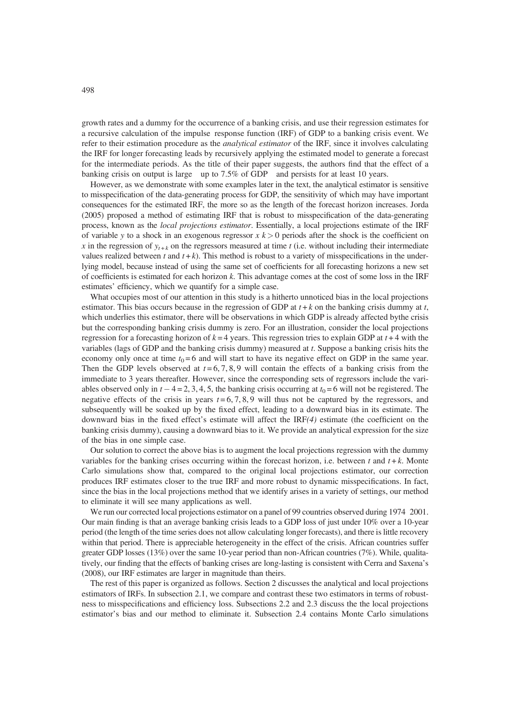growth rates and a dummy for the occurrence of a banking crisis, and use their regression estimates for a recursive calculation of the impulse response function (IRF) of GDP to a banking crisis event. We refer to their estimation procedure as the *analytical estimator* of the IRF, since it involves calculating the IRF for longer forecasting leads by recursively applying the estimated model to generate a forecast for the intermediate periods. As the title of their paper suggests, the authors find that the effect of a banking crisis on output is large up to 7.5% of GDP and persists for at least 10 years.

However, as we demonstrate with some examples later in the text, the analytical estimator is sensitive to misspecification of the data-generating process for GDP, the sensitivity of which may have important consequences for the estimated IRF, the more so as the length of the forecast horizon increases. Jorda (2005) proposed a method of estimating IRF that is robust to misspecification of the data-generating process, known as the local projections estimator. Essentially, a local projections estimate of the IRF of variable y to a shock in an exogenous regressor  $x \, k > 0$  periods after the shock is the coefficient on x in the regression of  $y_{t+k}$  on the regressors measured at time t (i.e. without including their intermediate values realized between t and  $t + k$ ). This method is robust to a variety of misspecifications in the underlying model, because instead of using the same set of coefficients for all forecasting horizons a new set of coefficients is estimated for each horizon k. This advantage comes at the cost of some loss in the IRF estimates' efficiency, which we quantify for a simple case.

What occupies most of our attention in this study is a hitherto unnoticed bias in the local projections estimator. This bias occurs because in the regression of GDP at  $t + k$  on the banking crisis dummy at  $t$ , which underlies this estimator, there will be observations in which GDP is already affected bythe crisis but the corresponding banking crisis dummy is zero. For an illustration, consider the local projections regression for a forecasting horizon of  $k = 4$  years. This regression tries to explain GDP at  $t + 4$  with the variables (lags of GDP and the banking crisis dummy) measured at t. Suppose a banking crisis hits the economy only once at time  $t_0 = 6$  and will start to have its negative effect on GDP in the same year. Then the GDP levels observed at  $t = 6, 7, 8, 9$  will contain the effects of a banking crisis from the immediate to 3 years thereafter. However, since the corresponding sets of regressors include the variables observed only in  $t - 4 = 2, 3, 4, 5$ , the banking crisis occurring at  $t_0 = 6$  will not be registered. The negative effects of the crisis in years  $t = 6, 7, 8, 9$  will thus not be captured by the regressors, and subsequently will be soaked up by the fixed effect, leading to a downward bias in its estimate. The downward bias in the fixed effect's estimate will affect the  $IRF(4)$  estimate (the coefficient on the banking crisis dummy), causing a downward bias to it. We provide an analytical expression for the size of the bias in one simple case.

Our solution to correct the above bias is to augment the local projections regression with the dummy variables for the banking crises occurring within the forecast horizon, i.e. between t and  $t + k$ . Monte Carlo simulations show that, compared to the original local projections estimator, our correction produces IRF estimates closer to the true IRF and more robust to dynamic misspecifications. In fact, since the bias in the local projections method that we identify arises in a variety of settings, our method to eliminate it will see many applications as well.

We run our corrected local projections estimator on a panel of 99 countries observed during 1974 2001. Our main finding is that an average banking crisis leads to a GDP loss of just under 10% over a 10-year period (the length of the time series does not allow calculating longer forecasts), and there is little recovery within that period. There is appreciable heterogeneity in the effect of the crisis. African countries suffer greater GDP losses (13%) over the same 10-year period than non-African countries (7%). While, qualitatively, our finding that the effects of banking crises are long-lasting is consistent with Cerra and Saxena's (2008), our IRF estimates are larger in magnitude than theirs.

The rest of this paper is organized as follows. Section 2 discusses the analytical and local projections estimators of IRFs. In subsection 2.1, we compare and contrast these two estimators in terms of robustness to misspecifications and efficiency loss. Subsections 2.2 and 2.3 discuss the the local projections estimator's bias and our method to eliminate it. Subsection 2.4 contains Monte Carlo simulations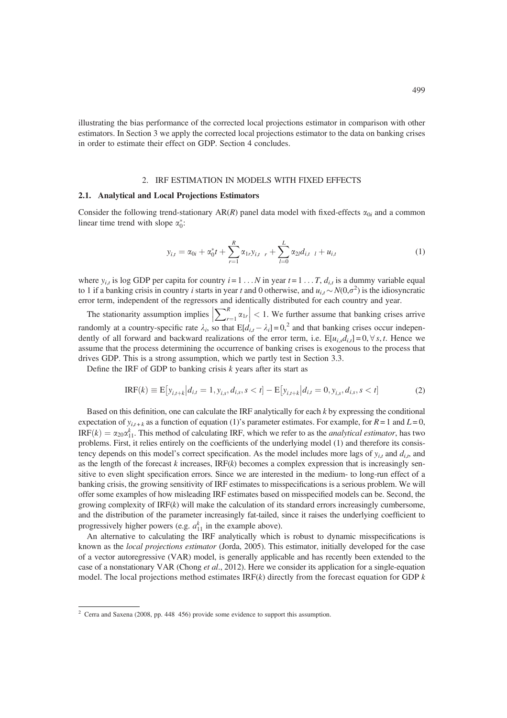illustrating the bias performance of the corrected local projections estimator in comparison with other estimators. In Section 3 we apply the corrected local projections estimator to the data on banking crises in order to estimate their effect on GDP. Section 4 concludes.

## 2. IRF ESTIMATION IN MODELS WITH FIXED EFFECTS

#### 2.1. Analytical and Local Projections Estimators

Consider the following trend-stationary AR(R) panel data model with fixed-effects  $\alpha_{0i}$  and a common linear time trend with slope  $\alpha_0^*$ :

$$
y_{i,t} = \alpha_{0i} + \alpha_0^* t + \sum_{r=1}^R \alpha_{1r} y_{i,t} \big|_{r} + \sum_{l=0}^L \alpha_{2l} d_{i,t} \big|_{l} + u_{i,t} \tag{1}
$$

where  $y_{i,t}$  is log GDP per capita for country  $i = 1 \ldots N$  in year  $t = 1 \ldots T$ ,  $d_{i,t}$  is a dummy variable equal to 1 if a banking crisis in country *i* starts in year *t* and 0 otherwise, and  $u_{i,t} \sim N(0,\sigma^2)$  is the idiosyncratic error term, independent of the regressors and identically distributed for each country and year.

The stationarity assumption implies  $\left|\sum_{r=1}^R \alpha_{1r}\right| < 1$ . We further assume that banking crises arrive randomly at a country-specific rate  $\lambda_i$ , so that  $E[d_{i,t} - \lambda_i] = 0$ ,<sup>2</sup> and that banking crises occur independently of all forward and backward realizations of the error term, i.e.  $E[u_{i,s}d_{i,t}] = 0, \forall s, t$ . Hence we assume that the process determining the occurrence of banking crises is exogenous to the process that drives GDP. This is a strong assumption, which we partly test in Section 3.3.

Define the IRF of GDP to banking crisis  $k$  years after its start as

$$
IRF(k) \equiv E[y_{i,t+k}|d_{i,t} = 1, y_{i,s}, d_{i,s}, s < t] - E[y_{i,t+k}|d_{i,t} = 0, y_{i,s}, d_{i,s}, s < t]
$$
\n(2)

Based on this definition, one can calculate the IRF analytically for each  $k$  by expressing the conditional expectation of  $y_{i,t+k}$  as a function of equation (1)'s parameter estimates. For example, for  $R = 1$  and  $L = 0$ ,  $IRF(k) = \alpha_{20}\alpha_{11}^{k}$ . This method of calculating IRF, which we refer to as the *analytical estimator*, has two problems. First, it relies entirely on the coefficients of the underlying model (1) and therefore its consistency depends on this model's correct specification. As the model includes more lags of  $y_{it}$  and  $d_{it}$ , and as the length of the forecast k increases,  $IRF(k)$  becomes a complex expression that is increasingly sensitive to even slight specification errors. Since we are interested in the medium- to long-run effect of a banking crisis, the growing sensitivity of IRF estimates to misspecifications is a serious problem. We will offer some examples of how misleading IRF estimates based on misspecified models can be. Second, the growing complexity of  $IRF(k)$  will make the calculation of its standard errors increasingly cumbersome, and the distribution of the parameter increasingly fat-tailed, since it raises the underlying coefficient to progressively higher powers (e.g.  $a_{11}^k$  in the example above).

An alternative to calculating the IRF analytically which is robust to dynamic misspecifications is known as the local projections estimator (Jorda, 2005). This estimator, initially developed for the case of a vector autoregressive (VAR) model, is generally applicable and has recently been extended to the case of a nonstationary VAR (Chong et al., 2012). Here we consider its application for a single-equation model. The local projections method estimates  $IRF(k)$  directly from the forecast equation for GDP k

<sup>2</sup> Cerra and Saxena (2008, pp. 448 456) provide some evidence to support this assumption.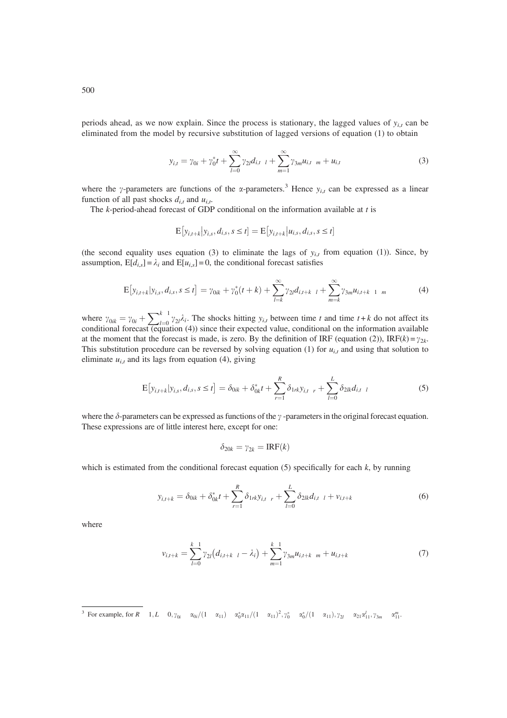periods ahead, as we now explain. Since the process is stationary, the lagged values of  $y_{i,t}$  can be eliminated from the model by recursive substitution of lagged versions of equation (1) to obtain

$$
y_{i,t} = \gamma_{0i} + \gamma_0^* t + \sum_{l=0}^{\infty} \gamma_{2l} d_{i,t-l} + \sum_{m=1}^{\infty} \gamma_{3m} u_{i,t-m} + u_{i,t}
$$
 (3)

where the y-parameters are functions of the  $\alpha$ -parameters.<sup>3</sup> Hence  $y_{i,t}$  can be expressed as a linear function of all past shocks  $d_{i,t}$  and  $u_{i,t}$ .

The  $k$ -period-ahead forecast of GDP conditional on the information available at  $t$  is

$$
E[y_{i,t+k}|y_{i,s}, d_{i,s}, s \le t] = E[y_{i,t+k}|u_{i,s}, d_{i,s}, s \le t]
$$

(the second equality uses equation (3) to eliminate the lags of  $y_{i,t}$  from equation (1)). Since, by assumption,  $E[d_{i,s}] = \lambda_i$  and  $E[u_{i,s}] = 0$ , the conditional forecast satisfies

$$
\mathbb{E}\left[y_{i,t+k}|y_{i,s},d_{i,s},s\leq t\right] = \gamma_{0ik} + \gamma_0^*(t+k) + \sum_{l=k}^{\infty} \gamma_{2l}d_{i,t+k-l} + \sum_{m=k}^{\infty} \gamma_{3m}u_{i,t+k-1-m} \tag{4}
$$

where  $\gamma_{0ik} = \gamma_{0i} + \sum_{l=0}^{k-1} \gamma_{2l} \lambda_i$ . The shocks hitting  $y_{i,t}$  between time t and time  $t + k$  do not affect its conditional forecast (equation (4)) since their expected value, conditional on the information availa at the moment that the forecast is made, is zero. By the definition of IRF (equation (2)), IRF(k) =  $\gamma_{2k}$ . This substitution procedure can be reversed by solving equation (1) for  $u_{i,t}$  and using that solution to eliminate  $u_{i,t}$  and its lags from equation (4), giving

$$
\mathcal{E}[y_{i,t+k}|y_{i,s}, d_{i,s}, s \le t] = \delta_{0ik} + \delta_{0k}^* t + \sum_{r=1}^R \delta_{1rk} y_{i,t} \ r + \sum_{l=0}^L \delta_{2lk} d_{i,t} \ r \tag{5}
$$

where the  $\delta$ -parameters can be expressed as functions of the  $\gamma$ -parameters in the original forecast equation. These expressions are of little interest here, except for one:

$$
\delta_{20k}=\gamma_{2k}=\mathrm{IRF}(k)
$$

which is estimated from the conditional forecast equation  $(5)$  specifically for each k, by running

$$
y_{i,t+k} = \delta_{0ik} + \delta_{0k}^* t + \sum_{r=1}^R \delta_{1rk} y_{i,t} \ r + \sum_{l=0}^L \delta_{2lk} d_{i,t} \ t + v_{i,t+k} \tag{6}
$$

where

$$
v_{i,t+k} = \sum_{l=0}^{k-1} \gamma_{2l} (d_{i,t+k-l} - \lambda_i) + \sum_{m=1}^{k-1} \gamma_{3m} u_{i,t+k-m} + u_{i,t+k}
$$
 (7)

<sup>&</sup>lt;sup>3</sup> For example, for R 1, L 0,  $\gamma_{0i} = \alpha_{0i}/(1 - \alpha_{11}) - \alpha_0^* \alpha_{11}/(1 - \alpha_{11})^2$ ,  $\gamma_0^* = \alpha_0^*/(1 - \alpha_{11})$ ,  $\gamma_{2l} = \alpha_{21} \alpha_{11}^l$ ,  $\gamma_{3m} = \alpha_{11}^m$ .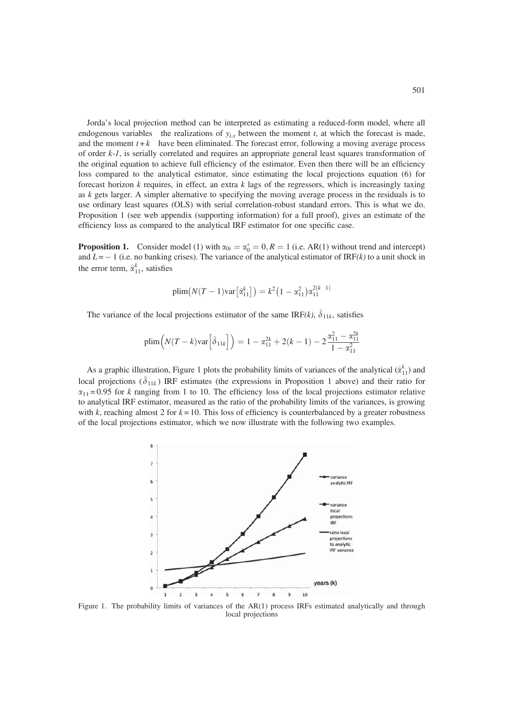Jorda's local projection method can be interpreted as estimating a reduced-form model, where all endogenous variables the realizations of  $y_{i,s}$  between the moment t, at which the forecast is made, and the moment  $t + k$  have been eliminated. The forecast error, following a moving average process of order k-1, is serially correlated and requires an appropriate general least squares transformation of the original equation to achieve full efficiency of the estimator. Even then there will be an efficiency loss compared to the analytical estimator, since estimating the local projections equation (6) for forecast horizon k requires, in effect, an extra k lags of the regressors, which is increasingly taxing as  $k$  gets larger. A simpler alternative to specifying the moving average process in the residuals is to use ordinary least squares (OLS) with serial correlation-robust standard errors. This is what we do. Proposition 1 (see web appendix (supporting information) for a full proof), gives an estimate of the efficiency loss as compared to the analytical IRF estimator for one specific case.

**Proposition 1.** Consider model (1) with  $\alpha_{0i} = \alpha_0^* = 0, R = 1$  (i.e. AR(1) without trend and intercept) and  $L = -1$  (i.e. no banking crises). The variance of the analytical estimator of IRF(k) to a unit shock in the error term,  $\hat{\alpha}_{11}^k$ , satisfies

$$
\text{plim}\big(N(T-1)\text{var}\big[\hat{\alpha}_{11}^k\big]\big)=k^2\big(1-\alpha_{11}^2\big)\alpha_{11}^{2(k-1)}
$$

The variance of the local projections estimator of the same IRF(k),  $\hat{\delta}_{11k}$ , satisfies

$$
\text{plim}\Big(N(T-k)\text{var}\Big[\hat{\delta}_{11k}\Big]\Big) = 1 - \alpha_{11}^{2k} + 2(k-1) - 2\frac{\alpha_{11}^2 - \alpha_{11}^{2k}}{1 - \alpha_{11}^2}
$$

As a graphic illustration, Figure 1 plots the probability limits of variances of the analytical  $(\hat{\alpha}_{11}^k)$  and local projections  $(\hat{\delta}_{11k})$  IRF estimates (the expressions in Proposition 1 above) and their ratio for  $\alpha_{11}$  = 0.95 for k ranging from 1 to 10. The efficiency loss of the local projections estimator relative to analytical IRF estimator, measured as the ratio of the probability limits of the variances, is growing with k, reaching almost 2 for  $k = 10$ . This loss of efficiency is counterbalanced by a greater robustness of the local projections estimator, which we now illustrate with the following two examples.



Figure 1. The probability limits of variances of the AR(1) process IRFs estimated analytically and through local projections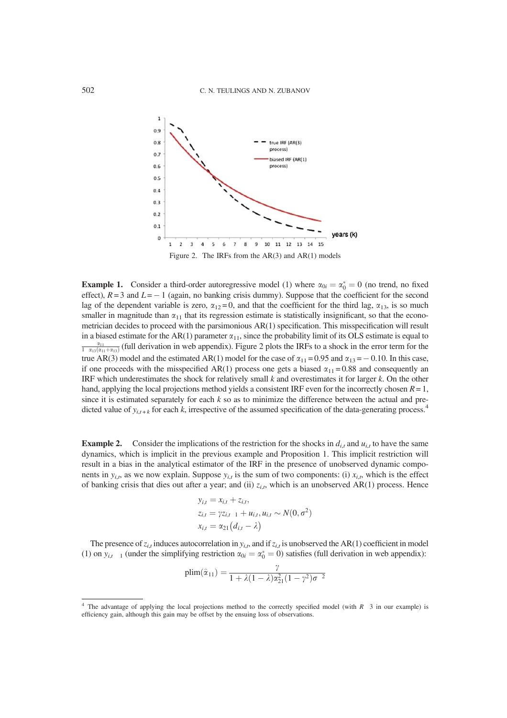

**Example 1.** Consider a third-order autoregressive model (1) where  $\alpha_{0i} = \alpha_0^* = 0$  (no trend, no fixed effect),  $R = 3$  and  $L = -1$  (again, no banking crisis dummy). Suppose that the coefficient for the second lag of the dependent variable is zero,  $\alpha_{12} = 0$ , and that the coefficient for the third lag,  $\alpha_{13}$ , is so much smaller in magnitude than  $\alpha_{11}$  that its regression estimate is statistically insignificant, so that the econometrician decides to proceed with the parsimonious AR(1) specification. This misspecification will result in a biased estimate for the AR(1) parameter  $\alpha_{11}$ , since the probability limit of its OLS estimate is equal to  $\frac{\alpha_{11}}{1-\alpha_{13}(\alpha_{11}+\alpha_{13})}$  (full derivation in web appendix). Figure 2 plots the IRFs to a shock in the error term for the true AR(3) model and the estimated AR(1) model for the case of  $\alpha_{11} = 0.95$  and  $\alpha_{13} = -0.10$ . In this case, if one proceeds with the misspecified AR(1) process one gets a biased  $\alpha_{11} = 0.88$  and consequently an IRF which underestimates the shock for relatively small  $k$  and overestimates it for larger  $k$ . On the other hand, applying the local projections method yields a consistent IRF even for the incorrectly chosen  $R = 1$ , since it is estimated separately for each  $k$  so as to minimize the difference between the actual and predicted value of  $y_{i,t+k}$  for each k, irrespective of the assumed specification of the data-generating process.<sup>4</sup>

**Example 2.** Consider the implications of the restriction for the shocks in  $d_{i,t}$  and  $u_{i,t}$  to have the same dynamics, which is implicit in the previous example and Proposition 1. This implicit restriction will result in a bias in the analytical estimator of the IRF in the presence of unobserved dynamic components in  $y_{i,t}$ , as we now explain. Suppose  $y_{i,t}$  is the sum of two components: (i)  $x_{i,t}$ , which is the effect of banking crisis that dies out after a year; and (ii)  $z_{i,t}$ , which is an unobserved AR(1) process. Hence

$$
y_{i,t} = x_{i,t} + z_{i,t},
$$
  
\n
$$
z_{i,t} = \gamma z_{i,t-1} + u_{i,t}, u_{i,t} \sim N(0, \sigma^2)
$$
  
\n
$$
x_{i,t} = \alpha_{21} (d_{i,t} - \lambda)
$$

The presence of  $z_{i,t}$  induces autocorrelation in  $y_{i,t}$ , and if  $z_{i,t}$  is unobserved the AR(1) coefficient in model (1) on  $y_{i,t-1}$  (under the simplifying restriction  $\alpha_{0i} = \alpha_0^* = 0$ ) satisfies (full derivation in web appendix):

$$
plim(\hat{\alpha}_{11})=\frac{\gamma}{1+\lambda(1-\lambda)\alpha_{21}^2(1-\gamma^2)\sigma^{-2}}
$$

 $4$  The advantage of applying the local projections method to the correctly specified model (with  $R$  3 in our example) is efficiency gain, although this gain may be offset by the ensuing loss of observations.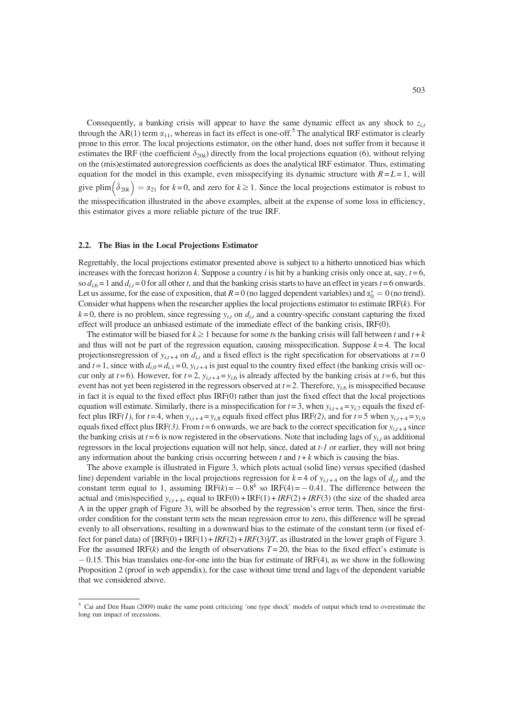Consequently, a banking crisis will appear to have the same dynamic effect as any shock to  $z_{i,t}$ through the AR(1) term  $\alpha_{11}$ , whereas in fact its effect is one-off.<sup>5</sup> The analytical IRF estimator is clearly prone to this error. The local projections estimator, on the other hand, does not suffer from it because it estimates the IRF (the coefficient  $\delta_{20k}$ ) directly from the local projections equation (6), without relying on the (mis)estimated autoregression coefficients as does the analytical IRF estimator. Thus, estimating equation for the model in this example, even misspecifying its dynamic structure with  $R = L = 1$ , will give plim  $\left(\hat{\delta}_{20k}\right) = \alpha_{21}$  for  $k = 0$ , and zero for  $k \ge 1$ . Since the local projections estimator is robust to the misspecification illustrated in the above examples, albeit at the expense of some loss in efficiency, this estimator gives a more reliable picture of the true IRF.

## 2.2. The Bias in the Local Projections Estimator

Regrettably, the local projections estimator presented above is subject to a hitherto unnoticed bias which increases with the forecast horizon k. Suppose a country i is hit by a banking crisis only once at, say,  $t = 6$ , so  $d_{i,6} = 1$  and  $d_{i,t} = 0$  for all other t, and that the banking crisis starts to have an effect in years  $t = 6$  onwards. Let us assume, for the ease of exposition, that  $R = 0$  (no lagged dependent variables) and  $\alpha_0^* = 0$  (no trend). Consider what happens when the researcher applies the local projections estimator to estimate  $IRF(k)$ . For  $k=0$ , there is no problem, since regressing  $y_{i,t}$  on  $d_{i,t}$  and a country-specific constant capturing the fixed effect will produce an unbiased estimate of the immediate effect of the banking crisis, IRF(0).

The estimator will be biased for  $k \ge 1$  because for some ts the banking crisis will fall between t and  $t + k$ and thus will not be part of the regression equation, causing misspecification. Suppose  $k = 4$ . The local projectionsregression of  $y_{i,t+4}$  on  $d_{i,t}$  and a fixed effect is the right specification for observations at  $t = 0$ and  $t = 1$ , since with  $d_{i,0} = d_{i,1} = 0$ ,  $y_{i,t+4}$  is just equal to the country fixed effect (the banking crisis will occur only at  $t = 6$ ). However, for  $t = 2$ ,  $y_{i,t+4} = y_{i,6}$  is already affected by the banking crisis at  $t = 6$ , but this event has not yet been registered in the regressors observed at  $t = 2$ . Therefore,  $y_{i,6}$  is misspecified because in fact it is equal to the fixed effect plus IRF(0) rather than just the fixed effect that the local projections equation will estimate. Similarly, there is a misspecification for  $t = 3$ , when  $y_{i,t+4} = y_{i,7}$  equals the fixed effect plus IRF(1), for  $t = 4$ , when  $y_{i,t+4} = y_{i,8}$  equals fixed effect plus IRF(2), and for  $t = 5$  when  $y_{i,t+4} = y_{i,9}$ equals fixed effect plus IRF(3). From  $t = 6$  onwards, we are back to the correct specification for  $y_{i,t+4}$  since the banking crisis at  $t = 6$  is now registered in the observations. Note that including lags of  $y_{i,t}$  as additional regressors in the local projections equation will not help, since, dated at t-1 or earlier, they will not bring any information about the banking crisis occurring between  $t$  and  $t + k$  which is causing the bias.

The above example is illustrated in Figure 3, which plots actual (solid line) versus specified (dashed line) dependent variable in the local projections regression for  $k = 4$  of  $y_{i,t+4}$  on the lags of  $d_{i,t}$  and the constant term equal to 1, assuming  $IRF(k) = -0.8^k$  so  $IRF(4) = -0.41$ . The difference between the actual and (mis)specified  $y_{i,t+4}$ , equal to IRF(0) + IRF(1) + IRF(2) + IRF(3) (the size of the shaded area A in the upper graph of Figure 3), will be absorbed by the regression's error term. Then, since the firstorder condition for the constant term sets the mean regression error to zero, this difference will be spread evenly to all observations, resulting in a downward bias to the estimate of the constant term (or fixed effect for panel data) of  $\text{IRF}(0) + \text{IRF}(1) + \text{IRF}(2) + \text{IRF}(3)$  as illustrated in the lower graph of Figure 3. For the assumed IRF $(k)$  and the length of observations  $T = 20$ , the bias to the fixed effect's estimate is - 0.15. This bias translates one-for-one into the bias for estimate of IRF(4), as we show in the following Proposition 2 (proof in web appendix), for the case without time trend and lags of the dependent variable that we considered above.

<sup>5</sup> Cai and Den Haan (2009) make the same point criticizing 'one type shock' models of output which tend to overestimate the long run impact of recessions.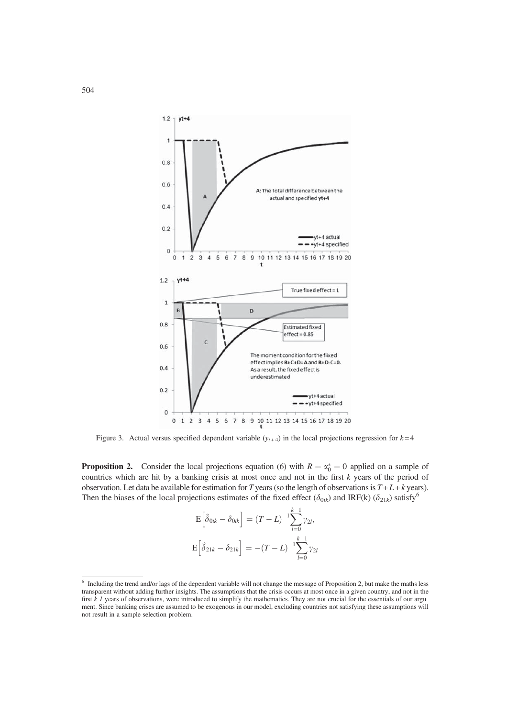

Figure 3. Actual versus specified dependent variable  $(y<sub>t+4</sub>)$  in the local projections regression for  $k=4$ 

**Proposition 2.** Consider the local projections equation (6) with  $R = \alpha_0^* = 0$  applied on a sample of countries which are hit by a banking crisis at most once and not in the first k years of the period of observation. Let data be available for estimation for T years (so the length of observations is  $T + L + k$  years). Then the biases of the local projections estimates of the fixed effect ( $\delta_{0ik}$ ) and IRF(k) ( $\delta_{21k}$ ) satisfy<sup>6</sup>

$$
E\left[\hat{\delta}_{0ik} - \delta_{0ik}\right] = (T - L)^{-1} \sum_{l=0}^{k-1} \gamma_{2l},
$$
  

$$
E\left[\hat{\delta}_{21k} - \delta_{21k}\right] = -(T - L)^{-1} \sum_{l=0}^{k-1} \gamma_{2l}
$$

<sup>6</sup> Including the trend and/or lags of the dependent variable will not change the message of Proposition 2, but make the maths less transparent without adding further insights. The assumptions that the crisis occurs at most once in a given country, and not in the first k 1 years of observations, were introduced to simplify the mathematics. They are not crucial for the essentials of our argu ment. Since banking crises are assumed to be exogenous in our model, excluding countries not satisfying these assumptions will not result in a sample selection problem.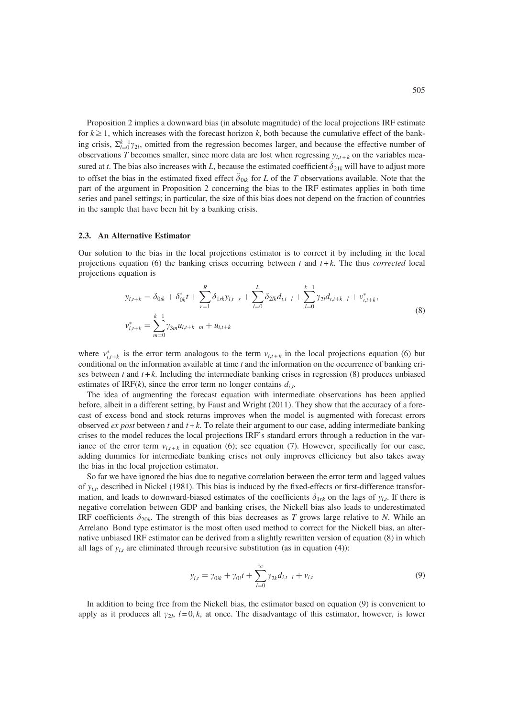Proposition 2 implies a downward bias (in absolute magnitude) of the local projections IRF estimate for  $k \geq 1$ , which increases with the forecast horizon k, both because the cumulative effect of the banking crisis,  $\Sigma_{l=0}^{k-1} \gamma_{2l}$ , omitted from the regression becomes larger, and because the effective number of observations T becomes smaller, since more data are lost when regressing  $y_{i,t+k}$  on the variables measured at t. The bias also increases with L, because the estimated coefficient  $\delta_{21k}$  will have to adjust more to offset the bias in the estimated fixed effect  $\delta_{0ik}$  for L of the T observations available. Note that the part of the argument in Proposition 2 concerning the bias to the IRF estimates applies in both time series and panel settings; in particular, the size of this bias does not depend on the fraction of countries in the sample that have been hit by a banking crisis.

#### 2.3. An Alternative Estimator

Our solution to the bias in the local projections estimator is to correct it by including in the local projections equation (6) the banking crises occurring between t and  $t + k$ . The thus *corrected* local projections equation is

$$
y_{i,t+k} = \delta_{0ik} + \delta_{0k}^* t + \sum_{r=1}^R \delta_{1rk} y_{i,t} \Big|_{r} + \sum_{l=0}^L \delta_{2lk} d_{i,t} \Big|_{t} + \sum_{l=0}^{k-1} \gamma_{2l} d_{i,t+k} \Big|_{t} + v_{i,t+k}^*,
$$
  

$$
v_{i,t+k}^* = \sum_{m=0}^{k-1} \gamma_{3m} u_{i,t+k} \Big|_{r} + u_{i,t+k}
$$
 (8)

where  $v_{i,t+k}^*$  is the error term analogous to the term  $v_{i,t+k}$  in the local projections equation (6) but conditional on the information available at time  $t$  and the information on the occurrence of banking crises between t and  $t + k$ . Including the intermediate banking crises in regression (8) produces unbiased estimates of IRF(k), since the error term no longer contains  $d_{i,t}$ .

The idea of augmenting the forecast equation with intermediate observations has been applied before, albeit in a different setting, by Faust and Wright (2011). They show that the accuracy of a forecast of excess bond and stock returns improves when the model is augmented with forecast errors observed ex post between t and  $t + k$ . To relate their argument to our case, adding intermediate banking crises to the model reduces the local projections IRF's standard errors through a reduction in the variance of the error term  $v_{i,t+k}$  in equation (6); see equation (7). However, specifically for our case, adding dummies for intermediate banking crises not only improves efficiency but also takes away the bias in the local projection estimator.

So far we have ignored the bias due to negative correlation between the error term and lagged values of  $y_{i,t}$ , described in Nickel (1981). This bias is induced by the fixed-effects or first-difference transformation, and leads to downward-biased estimates of the coefficients  $\delta_{1rk}$  on the lags of  $y_{i,t}$ . If there is negative correlation between GDP and banking crises, the Nickell bias also leads to underestimated IRF coefficients  $\delta_{20k}$ . The strength of this bias decreases as T grows large relative to N. While an Arrelano Bond type estimator is the most often used method to correct for the Nickell bias, an alternative unbiased IRF estimator can be derived from a slightly rewritten version of equation (8) in which all lags of  $y_{i,t}$  are eliminated through recursive substitution (as in equation (4)):

$$
y_{i,t} = \gamma_{0ik} + \gamma_{0}t + \sum_{l=0}^{\infty} \gamma_{2k} d_{i,t-l} + v_{i,t}
$$
 (9)

In addition to being free from the Nickell bias, the estimator based on equation (9) is convenient to apply as it produces all  $y_{2l}$ ,  $l = 0, k$ , at once. The disadvantage of this estimator, however, is lower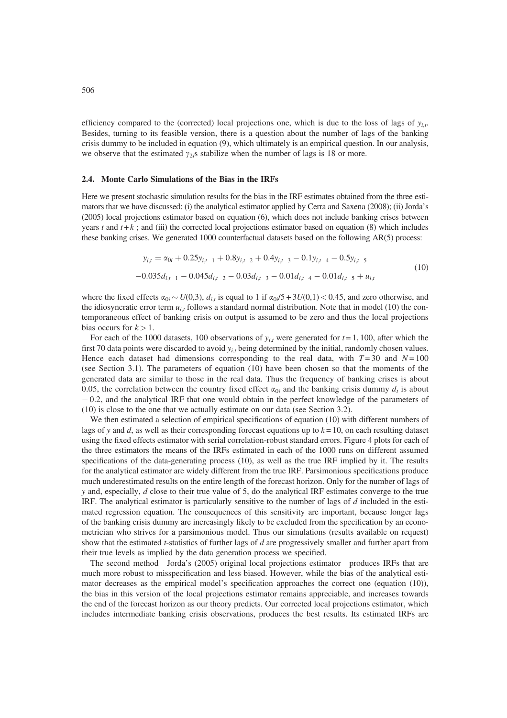efficiency compared to the (corrected) local projections one, which is due to the loss of lags of  $y_{i,t}$ . Besides, turning to its feasible version, there is a question about the number of lags of the banking crisis dummy to be included in equation (9), which ultimately is an empirical question. In our analysis, we observe that the estimated  $\gamma_{2l}$ s stabilize when the number of lags is 18 or more.

## 2.4. Monte Carlo Simulations of the Bias in the IRFs

Here we present stochastic simulation results for the bias in the IRF estimates obtained from the three estimators that we have discussed: (i) the analytical estimator applied by Cerra and Saxena (2008); (ii) Jorda's (2005) local projections estimator based on equation (6), which does not include banking crises between years t and  $t + k$ ; and (iii) the corrected local projections estimator based on equation (8) which includes these banking crises. We generated 1000 counterfactual datasets based on the following AR(5) process:

$$
y_{i,t} = \alpha_{0i} + 0.25y_{i,t-1} + 0.8y_{i,t-2} + 0.4y_{i,t-3} - 0.1y_{i,t-4} - 0.5y_{i,t-5}
$$
  
-0.035d<sub>i,t-1</sub> - 0.045d<sub>i,t-2</sub> - 0.03d<sub>i,t-3</sub> - 0.01d<sub>i,t-4</sub> - 0.01d<sub>i,t-5</sub> + u<sub>i,t</sub> (10)

where the fixed effects  $\alpha_{0i} \sim U(0,3)$ ,  $d_{i,t}$  is equal to 1 if  $\alpha_{0i}/5 + 3U(0,1) < 0.45$ , and zero otherwise, and the idiosyncratic error term  $u_{i,t}$  follows a standard normal distribution. Note that in model (10) the contemporaneous effect of banking crisis on output is assumed to be zero and thus the local projections bias occurs for  $k > 1$ .

For each of the 1000 datasets, 100 observations of  $y_{i,t}$  were generated for  $t = 1, 100$ , after which the first 70 data points were discarded to avoid  $y_{i,t}$  being determined by the initial, randomly chosen values. Hence each dataset had dimensions corresponding to the real data, with  $T = 30$  and  $N = 100$ (see Section 3.1). The parameters of equation (10) have been chosen so that the moments of the generated data are similar to those in the real data. Thus the frequency of banking crises is about 0.05, the correlation between the country fixed effect  $\alpha_{0i}$  and the banking crisis dummy  $d_t$  is about - 0.2, and the analytical IRF that one would obtain in the perfect knowledge of the parameters of (10) is close to the one that we actually estimate on our data (see Section 3.2).

We then estimated a selection of empirical specifications of equation (10) with different numbers of lags of y and d, as well as their corresponding forecast equations up to  $k = 10$ , on each resulting dataset using the fixed effects estimator with serial correlation-robust standard errors. Figure 4 plots for each of the three estimators the means of the IRFs estimated in each of the 1000 runs on different assumed specifications of the data-generating process (10), as well as the true IRF implied by it. The results for the analytical estimator are widely different from the true IRF. Parsimonious specifications produce much underestimated results on the entire length of the forecast horizon. Only for the number of lags of y and, especially,  $d$  close to their true value of 5, do the analytical IRF estimates converge to the true IRF. The analytical estimator is particularly sensitive to the number of lags of  $d$  included in the estimated regression equation. The consequences of this sensitivity are important, because longer lags of the banking crisis dummy are increasingly likely to be excluded from the specification by an econometrician who strives for a parsimonious model. Thus our simulations (results available on request) show that the estimated *t*-statistics of further lags of d are progressively smaller and further apart from their true levels as implied by the data generation process we specified.

The second method Jorda's (2005) original local projections estimator produces IRFs that are much more robust to misspecification and less biased. However, while the bias of the analytical estimator decreases as the empirical model's specification approaches the correct one (equation (10)), the bias in this version of the local projections estimator remains appreciable, and increases towards the end of the forecast horizon as our theory predicts. Our corrected local projections estimator, which includes intermediate banking crisis observations, produces the best results. Its estimated IRFs are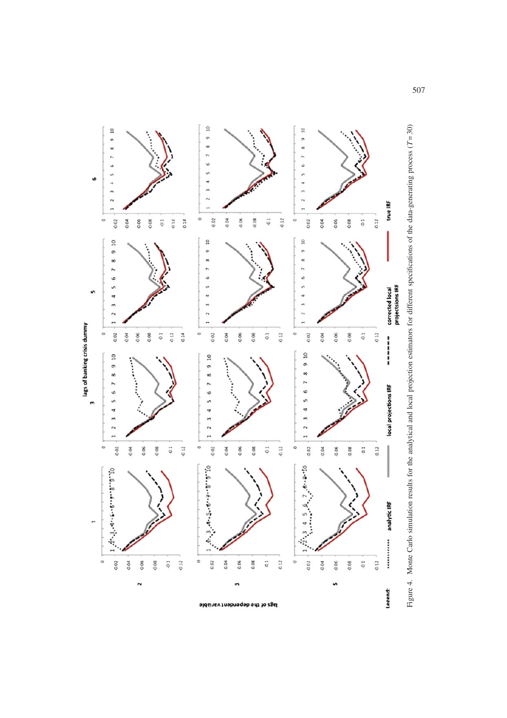

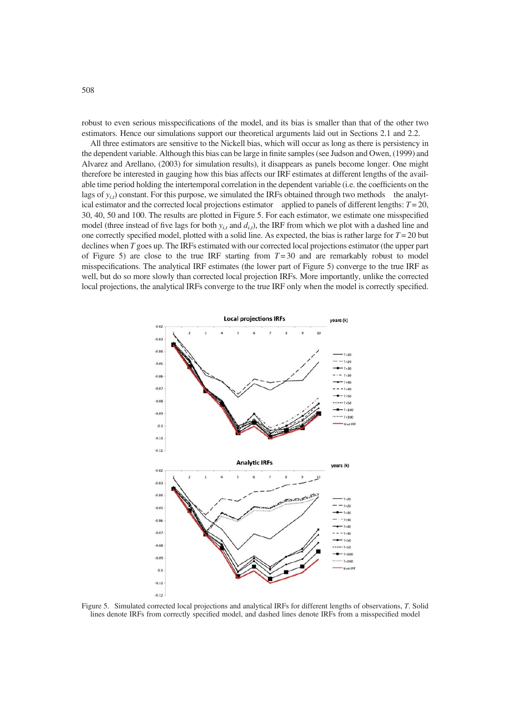robust to even serious misspecifications of the model, and its bias is smaller than that of the other two estimators. Hence our simulations support our theoretical arguments laid out in Sections 2.1 and 2.2.

All three estimators are sensitive to the Nickell bias, which will occur as long as there is persistency in the dependent variable. Although this bias can be large in finite samples (see Judson and Owen, (1999) and Alvarez and Arellano, (2003) for simulation results), it disappears as panels become longer. One might therefore be interested in gauging how this bias affects our IRF estimates at different lengths of the available time period holding the intertemporal correlation in the dependent variable (i.e. the coefficients on the lags of  $y_{i,t}$ ) constant. For this purpose, we simulated the IRFs obtained through two methods the analytical estimator and the corrected local projections estimator applied to panels of different lengths:  $T = 20$ , 30, 40, 50 and 100. The results are plotted in Figure 5. For each estimator, we estimate one misspecified model (three instead of five lags for both  $y_{i,t}$  and  $d_{i,t}$ ), the IRF from which we plot with a dashed line and one correctly specified model, plotted with a solid line. As expected, the bias is rather large for  $T = 20$  but declines when T goes up. The IRFs estimated with our corrected local projections estimator (the upper part of Figure 5) are close to the true IRF starting from  $T = 30$  and are remarkably robust to model misspecifications. The analytical IRF estimates (the lower part of Figure 5) converge to the true IRF as well, but do so more slowly than corrected local projection IRFs. More importantly, unlike the corrected local projections, the analytical IRFs converge to the true IRF only when the model is correctly specified.



Figure 5. Simulated corrected local projections and analytical IRFs for different lengths of observations, T. Solid lines denote IRFs from correctly specified model, and dashed lines denote IRFs from a misspecified model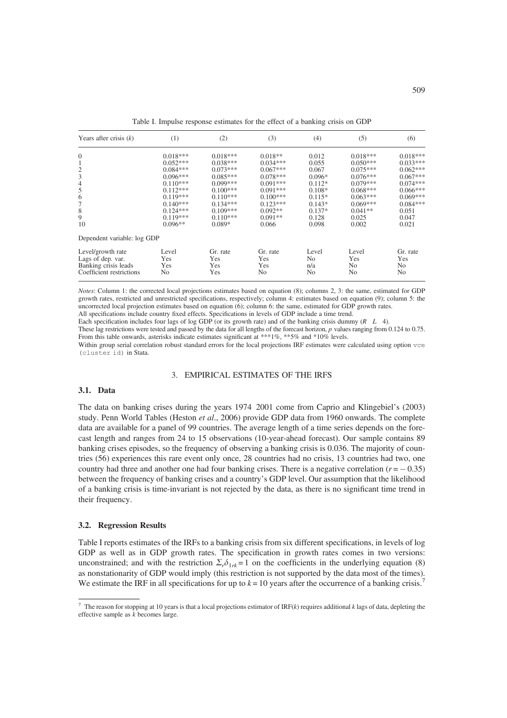| Years after crisis $(k)$                         | (1)          | (2)             | (3)                   | (4)                     | (5)          | (6)                              |
|--------------------------------------------------|--------------|-----------------|-----------------------|-------------------------|--------------|----------------------------------|
| $\mathbf{0}$                                     | $0.018***$   | $0.018***$      | $0.018**$             | 0.012                   | $0.018***$   | $0.018***$                       |
| 1                                                | $0.052***$   | $0.038***$      | $0.034***$            | 0.055                   | $0.050***$   | $0.033***$                       |
| $\frac{2}{3}$                                    | $0.084***$   | $0.073***$      | $0.067***$            | 0.067                   | $0.075***$   | $0.062***$                       |
|                                                  | $0.096***$   | $0.085***$      | $0.078***$            | $0.096*$                | $0.076***$   | $0.067***$                       |
| $\overline{4}$                                   | $0.110***$   | $0.099***$      | $0.091***$            | $0.112*$                | $0.079***$   | $0.074***$                       |
| 5                                                | $0.112***$   | $0.100***$      | $0.091***$            | $0.108*$                | $0.068***$   | $0.066***$                       |
| 6                                                | $0.119***$   | $0.110***$      | $0.100***$            | $0.115*$                | $0.063***$   | $0.069***$                       |
| 7                                                | $0.140***$   | $0.134***$      | $0.123***$            | $0.143*$                | $0.069***$   | $0.084***$                       |
| 8                                                | $0.124***$   | $0.109***$      | $0.092**$             | $0.137*$                | $0.041**$    | 0.051                            |
| 9                                                | $0.119***$   | $0.110***$      | $0.091**$             | 0.128                   | 0.025        | 0.047                            |
| 10                                               | $0.096**$    | $0.089*$        | 0.066                 | 0.098                   | 0.002        | 0.021                            |
| Dependent variable: log GDP                      |              |                 |                       |                         |              |                                  |
| Level/growth rate<br>Lags of dep. var.           | Level<br>Yes | Gr. rate<br>Yes | Gr. rate<br>Yes       | Level<br>N <sub>o</sub> | Level<br>Yes | Gr. rate<br>Yes                  |
| Banking crisis leads<br>Coefficient restrictions | Yes<br>No    | Yes<br>Yes      | Yes<br>N <sub>o</sub> | n/a<br>N <sub>0</sub>   | No<br>No     | N <sub>0</sub><br>N <sub>0</sub> |

Table I. Impulse response estimates for the effect of a banking crisis on GDP

Notes: Column 1: the corrected local projections estimates based on equation (8); columns 2, 3: the same, estimated for GDP growth rates, restricted and unrestricted specifications, respectively; column 4: estimates based on equation (9); column 5: the uncorrected local projection estimates based on equation (6); column 6: the same, estimated for GDP growth rates. All specifications include country fixed effects. Specifications in levels of GDP include a time trend.

Each specification includes four lags of log GDP (or its growth rate) and of the banking crisis dummy  $(R L 4)$ .

These lag restrictions were tested and passed by the data for all lengths of the forecast horizon, p values ranging from 0.124 to 0.75. From this table onwards, asterisks indicate estimates significant at \*\*\*1%, \*\*5% and \*10% levels.

Within group serial correlation robust standard errors for the local projections IRF estimates were calculated using option vce (cluster id) in Stata.

#### 3. EMPIRICAL ESTIMATES OF THE IRFS

# 3.1. Data

The data on banking crises during the years 1974 2001 come from Caprio and Klingebiel's (2003) study. Penn World Tables (Heston et al., 2006) provide GDP data from 1960 onwards. The complete data are available for a panel of 99 countries. The average length of a time series depends on the forecast length and ranges from 24 to 15 observations (10-year-ahead forecast). Our sample contains 89 banking crises episodes, so the frequency of observing a banking crisis is 0.036. The majority of countries (56) experiences this rare event only once, 28 countries had no crisis, 13 countries had two, one country had three and another one had four banking crises. There is a negative correlation  $(r = -0.35)$ between the frequency of banking crises and a country's GDP level. Our assumption that the likelihood of a banking crisis is time-invariant is not rejected by the data, as there is no significant time trend in their frequency.

# 3.2. Regression Results

Table I reports estimates of the IRFs to a banking crisis from six different specifications, in levels of log GDP as well as in GDP growth rates. The specification in growth rates comes in two versions: unconstrained; and with the restriction  $\Sigma_r \delta_{1rk} = 1$  on the coefficients in the underlying equation (8) as nonstationarity of GDP would imply (this restriction is not supported by the data most of the times). We estimate the IRF in all specifications for up to  $k = 10$  years after the occurrence of a banking crisis.<sup>7</sup>

<sup>&</sup>lt;sup>7</sup> The reason for stopping at 10 years is that a local projections estimator of IRF(k) requires additional k lags of data, depleting the effective sample as  $k$  becomes large.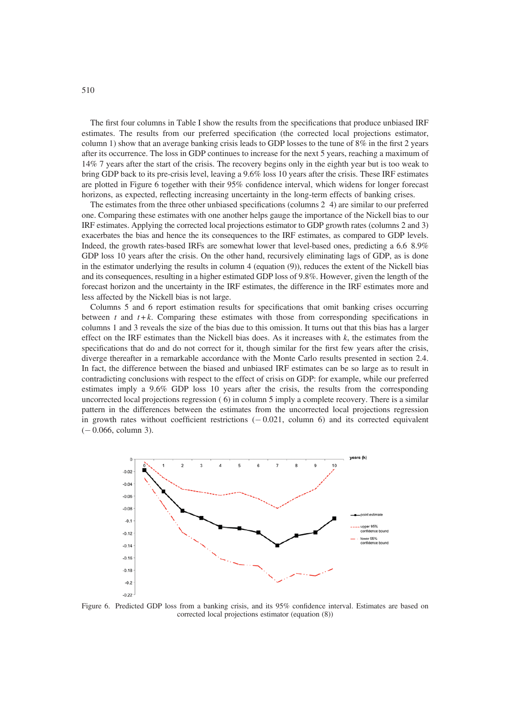The first four columns in Table I show the results from the specifications that produce unbiased IRF estimates. The results from our preferred specification (the corrected local projections estimator, column 1) show that an average banking crisis leads to GDP losses to the tune of 8% in the first 2 years after its occurrence. The loss in GDP continues to increase for the next 5 years, reaching a maximum of 14% 7 years after the start of the crisis. The recovery begins only in the eighth year but is too weak to bring GDP back to its pre-crisis level, leaving a 9.6% loss 10 years after the crisis. These IRF estimates are plotted in Figure 6 together with their 95% confidence interval, which widens for longer forecast horizons, as expected, reflecting increasing uncertainty in the long-term effects of banking crises.

The estimates from the three other unbiased specifications (columns 2 4) are similar to our preferred one. Comparing these estimates with one another helps gauge the importance of the Nickell bias to our IRF estimates. Applying the corrected local projections estimator to GDP growth rates (columns 2 and 3) exacerbates the bias and hence the its consequences to the IRF estimates, as compared to GDP levels. Indeed, the growth rates-based IRFs are somewhat lower that level-based ones, predicting a 6.6 8.9% GDP loss 10 years after the crisis. On the other hand, recursively eliminating lags of GDP, as is done in the estimator underlying the results in column 4 (equation (9)), reduces the extent of the Nickell bias and its consequences, resulting in a higher estimated GDP loss of 9.8%. However, given the length of the forecast horizon and the uncertainty in the IRF estimates, the difference in the IRF estimates more and less affected by the Nickell bias is not large.

Columns 5 and 6 report estimation results for specifications that omit banking crises occurring between t and  $t + k$ . Comparing these estimates with those from corresponding specifications in columns 1 and 3 reveals the size of the bias due to this omission. It turns out that this bias has a larger effect on the IRF estimates than the Nickell bias does. As it increases with  $k$ , the estimates from the specifications that do and do not correct for it, though similar for the first few years after the crisis, diverge thereafter in a remarkable accordance with the Monte Carlo results presented in section 2.4. In fact, the difference between the biased and unbiased IRF estimates can be so large as to result in contradicting conclusions with respect to the effect of crisis on GDP: for example, while our preferred estimates imply a 9.6% GDP loss 10 years after the crisis, the results from the corresponding uncorrected local projections regression ( 6) in column 5 imply a complete recovery. There is a similar pattern in the differences between the estimates from the uncorrected local projections regression in growth rates without coefficient restrictions  $(-0.021,$  column 6) and its corrected equivalent  $(-0.066, \text{column } 3).$ 



Figure 6. Predicted GDP loss from a banking crisis, and its 95% confidence interval. Estimates are based on corrected local projections estimator (equation (8))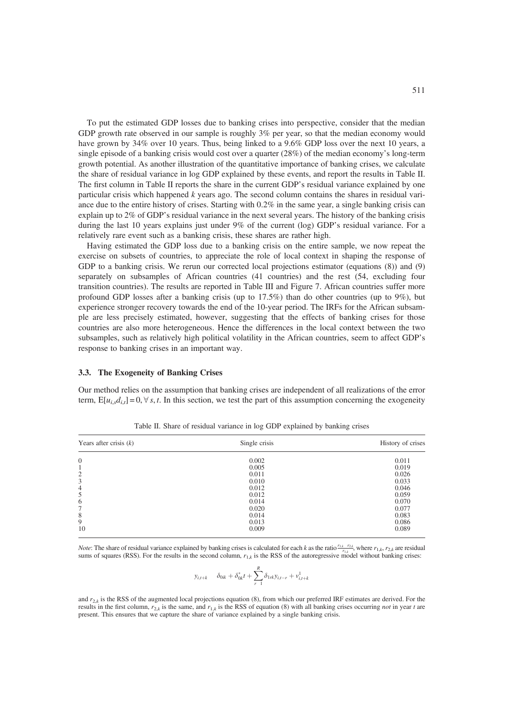To put the estimated GDP losses due to banking crises into perspective, consider that the median GDP growth rate observed in our sample is roughly 3% per year, so that the median economy would have grown by 34% over 10 years. Thus, being linked to a 9.6% GDP loss over the next 10 years, a single episode of a banking crisis would cost over a quarter (28%) of the median economy's long-term growth potential. As another illustration of the quantitative importance of banking crises, we calculate the share of residual variance in log GDP explained by these events, and report the results in Table II. The first column in Table II reports the share in the current GDP's residual variance explained by one particular crisis which happened k years ago. The second column contains the shares in residual variance due to the entire history of crises. Starting with 0.2% in the same year, a single banking crisis can explain up to 2% of GDP's residual variance in the next several years. The history of the banking crisis during the last 10 years explains just under 9% of the current (log) GDP's residual variance. For a relatively rare event such as a banking crisis, these shares are rather high.

Having estimated the GDP loss due to a banking crisis on the entire sample, we now repeat the exercise on subsets of countries, to appreciate the role of local context in shaping the response of GDP to a banking crisis. We rerun our corrected local projections estimator (equations  $(8)$ ) and  $(9)$ separately on subsamples of African countries (41 countries) and the rest (54, excluding four transition countries). The results are reported in Table III and Figure 7. African countries suffer more profound GDP losses after a banking crisis (up to 17.5%) than do other countries (up to 9%), but experience stronger recovery towards the end of the 10-year period. The IRFs for the African subsample are less precisely estimated, however, suggesting that the effects of banking crises for those countries are also more heterogeneous. Hence the differences in the local context between the two subsamples, such as relatively high political volatility in the African countries, seem to affect GDP's response to banking crises in an important way.

#### 3.3. The Exogeneity of Banking Crises

Our method relies on the assumption that banking crises are independent of all realizations of the error term,  $E[u_i, d_i] = 0, \forall s, t$ . In this section, we test the part of this assumption concerning the exogeneity

| Years after crisis $(k)$ | Single crisis | History of crises |
|--------------------------|---------------|-------------------|
| $\overline{0}$           | 0.002         | 0.011             |
| 1                        | 0.005         | 0.019             |
| $\overline{2}$           | 0.011         | 0.026             |
| 3                        | 0.010         | 0.033             |
| $\overline{4}$           | 0.012         | 0.046             |
| 5                        | 0.012         | 0.059             |
| 6                        | 0.014         | 0.070             |
| 7                        | 0.020         | 0.077             |
| 8                        | 0.014         | 0.083             |
| 9                        | 0.013         | 0.086             |
| 10                       | 0.009         | 0.089             |

Table II. Share of residual variance in log GDP explained by banking crises

*Note:* The share of residual variance explained by banking crises is calculated for each k as the ratio  $\frac{r_{1,k}}{r_{1,k}}$ , where  $r_{1,k}$ ,  $r_{2,k}$  are residual sums of squares (RSS). For the results in the second column,  $r_{1,k}$  is the RSS of the autoregressive model without banking crises:

$$
y_{i,t+k} \quad \delta_{0ik} + \delta_{0k}^{*}t + \sum_{r=1}^{R} \delta_{1rk} y_{i,t-r} + v_{i,t+k}^{1}
$$

and  $r_{2,k}$  is the RSS of the augmented local projections equation (8), from which our preferred IRF estimates are derived. For the results in the first column,  $r_{2,k}$  is the same, and  $r_{1,k}$  is the RSS of equation (8) with all banking crises occurring not in year t are present. This ensures that we capture the share of variance explained by a single banking crisis.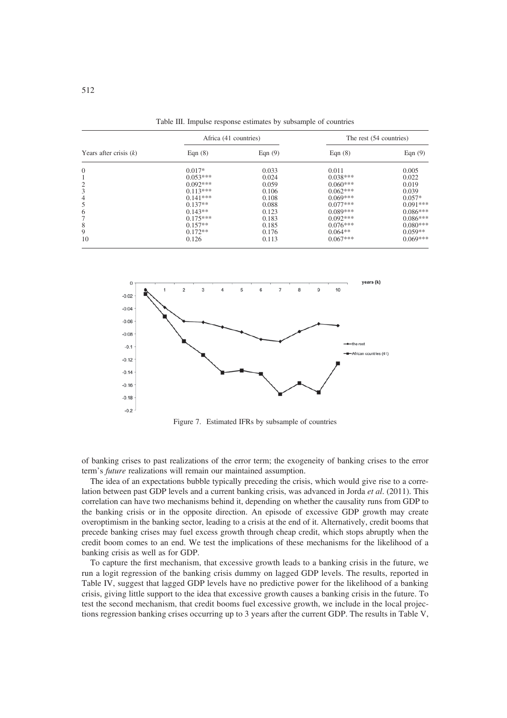|                          | Africa (41 countries) |           | The rest (54 countries) |            |  |
|--------------------------|-----------------------|-----------|-------------------------|------------|--|
| Years after crisis $(k)$ | Eqn $(8)$             | Eqn $(9)$ | Eqn $(8)$               | Eqn $(9)$  |  |
| $\mathbf{0}$             | $0.017*$              | 0.033     | 0.011                   | 0.005      |  |
|                          | $0.053***$            | 0.024     | $0.038***$              | 0.022      |  |
| $\overline{c}$           | $0.092***$            | 0.059     | $0.060***$              | 0.019      |  |
| 3                        | $0.113***$            | 0.106     | $0.062***$              | 0.039      |  |
| $\overline{4}$           | $0.141***$            | 0.108     | $0.069***$              | $0.057*$   |  |
| 5                        | $0.137**$             | 0.088     | $0.077***$              | $0.091***$ |  |
| 6                        | $0.143**$             | 0.123     | $0.089***$              | $0.086***$ |  |
| 7                        | $0.175***$            | 0.183     | $0.092***$              | $0.086***$ |  |
| 8                        | $0.157**$             | 0.185     | $0.076***$              | $0.080***$ |  |
| 9                        | $0.172**$             | 0.176     | $0.064**$               | $0.059**$  |  |
| 10                       | 0.126                 | 0.113     | $0.067***$              | $0.069***$ |  |

Table III. Impulse response estimates by subsample of countries



Figure 7. Estimated IFRs by subsample of countries

of banking crises to past realizations of the error term; the exogeneity of banking crises to the error term's future realizations will remain our maintained assumption.

The idea of an expectations bubble typically preceding the crisis, which would give rise to a correlation between past GDP levels and a current banking crisis, was advanced in Jorda et al. (2011). This correlation can have two mechanisms behind it, depending on whether the causality runs from GDP to the banking crisis or in the opposite direction. An episode of excessive GDP growth may create overoptimism in the banking sector, leading to a crisis at the end of it. Alternatively, credit booms that precede banking crises may fuel excess growth through cheap credit, which stops abruptly when the credit boom comes to an end. We test the implications of these mechanisms for the likelihood of a banking crisis as well as for GDP.

To capture the first mechanism, that excessive growth leads to a banking crisis in the future, we run a logit regression of the banking crisis dummy on lagged GDP levels. The results, reported in Table IV, suggest that lagged GDP levels have no predictive power for the likelihood of a banking crisis, giving little support to the idea that excessive growth causes a banking crisis in the future. To test the second mechanism, that credit booms fuel excessive growth, we include in the local projections regression banking crises occurring up to 3 years after the current GDP. The results in Table V,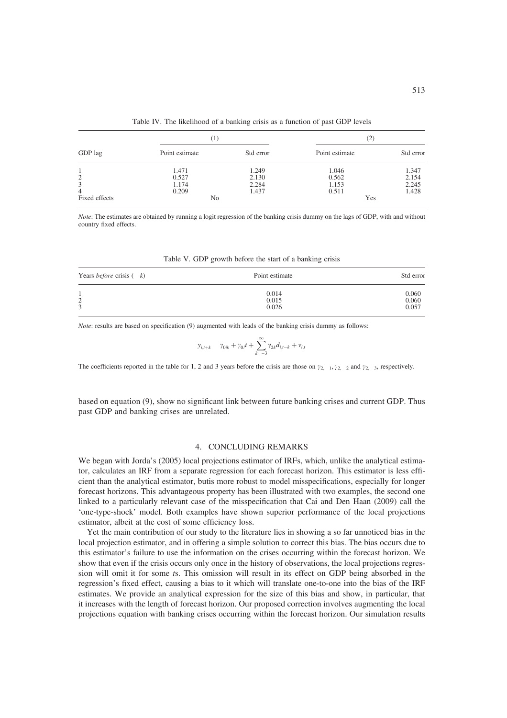|                | (1)            |           | (2)            |           |  |
|----------------|----------------|-----------|----------------|-----------|--|
| GDP lag        | Point estimate | Std error | Point estimate | Std error |  |
|                | 1.471          | 1.249     | 1.046          | 1.347     |  |
| $\overline{c}$ | 0.527          | 2.130     | 0.562          | 2.154     |  |
| 3              | 1.174          | 2.284     | 1.153          | 2.245     |  |
| $\overline{4}$ | 0.209          | 1.437     | 0.511          | 1.428     |  |
| Fixed effects  | No             |           | Yes            |           |  |

Table IV. The likelihood of a banking crisis as a function of past GDP levels

Note: The estimates are obtained by running a logit regression of the banking crisis dummy on the lags of GDP, with and without country fixed effects.

| Table V. GDP growth before the start of a banking crisis |  |  |  |  |  |
|----------------------------------------------------------|--|--|--|--|--|
|                                                          |  |  |  |  |  |

| Years <i>before</i> crisis $(k)$ | Point estimate | Std error |
|----------------------------------|----------------|-----------|
| $\bigcirc$                       | 0.014          | 0.060     |
| ∠                                | 0.015          | 0.060     |
| 3                                | 0.026          | 0.057     |

Note: results are based on specification (9) augmented with leads of the banking crisis dummy as follows:

$$
y_{i,t+k}
$$
  $\gamma_{0ik} + \gamma_{0}t + \sum_{k=-3}^{\infty} \gamma_{2k} d_{i,t-k} + v_{i,t}$ 

The coefficients reported in the table for 1, 2 and 3 years before the crisis are those on  $\gamma_{2,1}$ ,  $\gamma_{2,2}$  and  $\gamma_{2,3}$ , respectively.

based on equation (9), show no significant link between future banking crises and current GDP. Thus past GDP and banking crises are unrelated.

### 4. CONCLUDING REMARKS

We began with Jorda's (2005) local projections estimator of IRFs, which, unlike the analytical estimator, calculates an IRF from a separate regression for each forecast horizon. This estimator is less efficient than the analytical estimator, butis more robust to model misspecifications, especially for longer forecast horizons. This advantageous property has been illustrated with two examples, the second one linked to a particularly relevant case of the misspecification that Cai and Den Haan (2009) call the 'one-type-shock' model. Both examples have shown superior performance of the local projections estimator, albeit at the cost of some efficiency loss.

Yet the main contribution of our study to the literature lies in showing a so far unnoticed bias in the local projection estimator, and in offering a simple solution to correct this bias. The bias occurs due to this estimator's failure to use the information on the crises occurring within the forecast horizon. We show that even if the crisis occurs only once in the history of observations, the local projections regression will omit it for some ts. This omission will result in its effect on GDP being absorbed in the regression's fixed effect, causing a bias to it which will translate one-to-one into the bias of the IRF estimates. We provide an analytical expression for the size of this bias and show, in particular, that it increases with the length of forecast horizon. Our proposed correction involves augmenting the local projections equation with banking crises occurring within the forecast horizon. Our simulation results